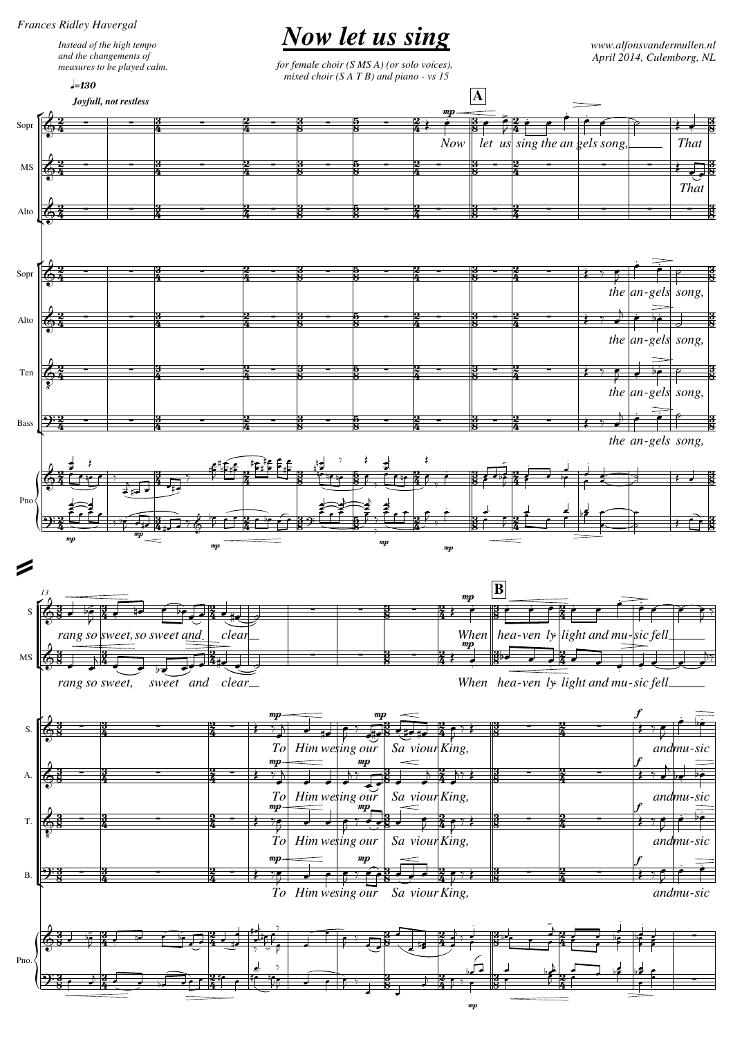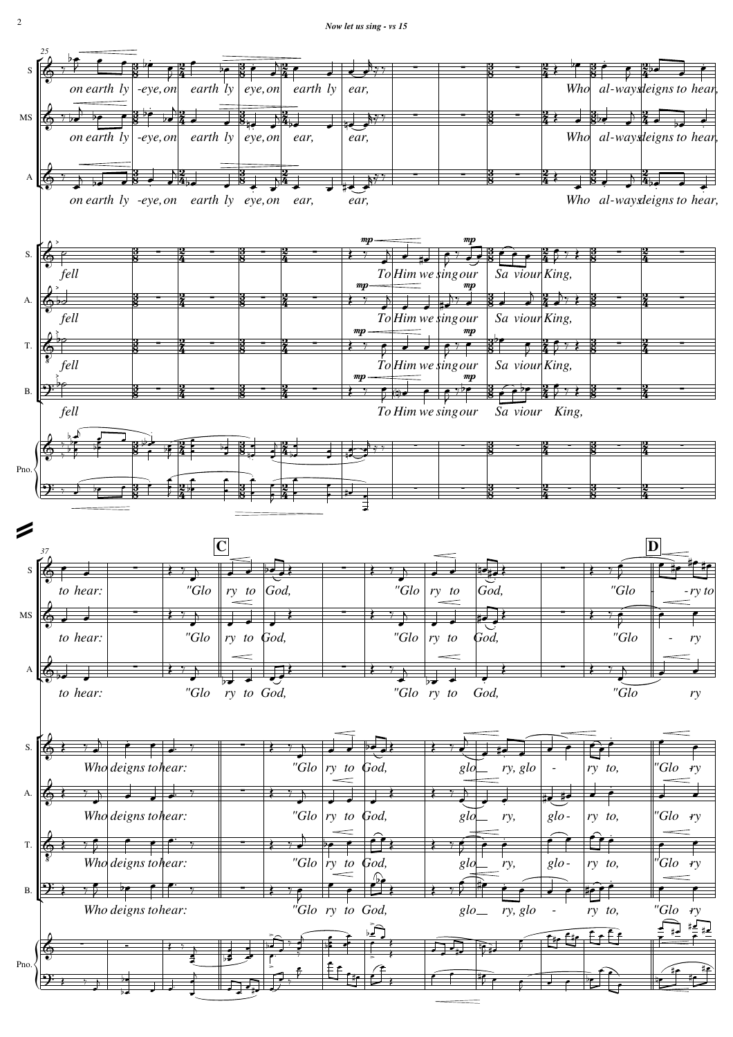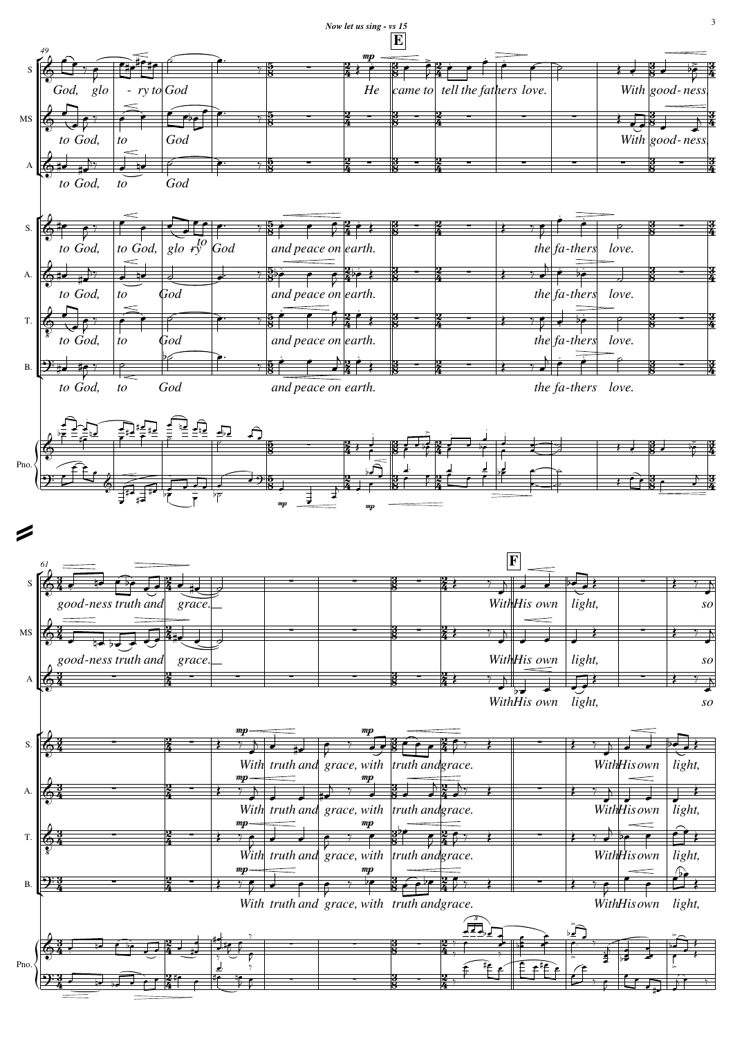